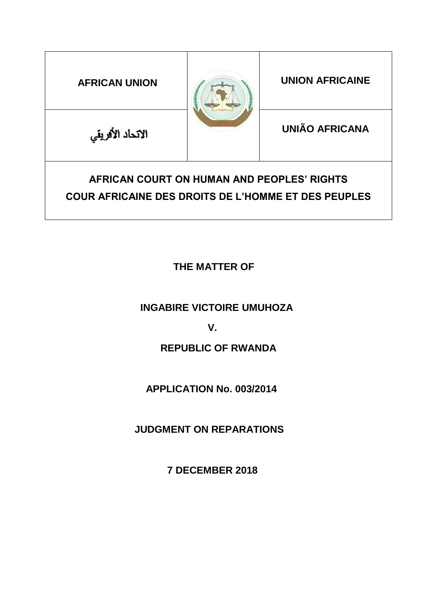

# **THE MATTER OF**

 **INGABIRE VICTOIRE UMUHOZA**

# **V.**

# **REPUBLIC OF RWANDA**

# **APPLICATION No. 003/2014**

# **JUDGMENT ON REPARATIONS**

**7 DECEMBER 2018**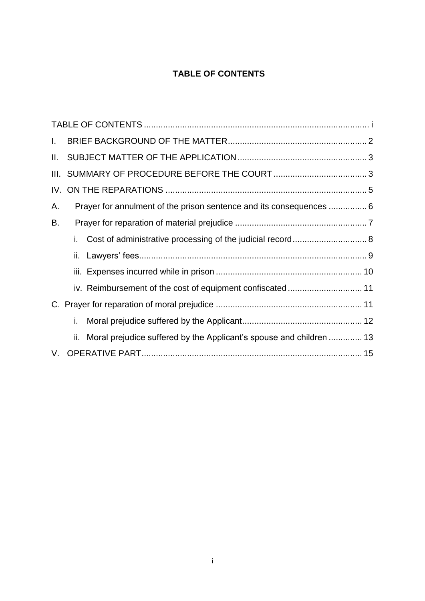# **TABLE OF CONTENTS**

<span id="page-1-0"></span>

| Ι.  |     |                                                                     |  |
|-----|-----|---------------------------------------------------------------------|--|
| II. |     |                                                                     |  |
|     |     |                                                                     |  |
|     |     |                                                                     |  |
| А.  |     | Prayer for annulment of the prison sentence and its consequences  6 |  |
| В.  |     |                                                                     |  |
|     | i.  |                                                                     |  |
|     |     |                                                                     |  |
|     |     |                                                                     |  |
|     |     | iv. Reimbursement of the cost of equipment confiscated 11           |  |
|     |     |                                                                     |  |
|     | i.  |                                                                     |  |
|     | ii. | Moral prejudice suffered by the Applicant's spouse and children  13 |  |
|     |     |                                                                     |  |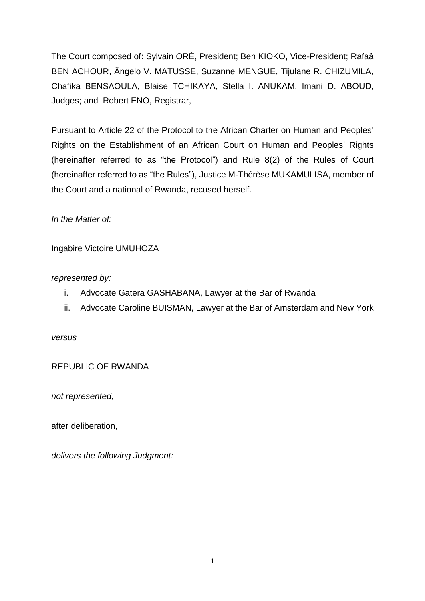The Court composed of: Sylvain ORÉ, President; Ben KIOKO, Vice-President; Rafaâ BEN ACHOUR, Ângelo V. MATUSSE, Suzanne MENGUE, Tijulane R. CHIZUMILA, Chafika BENSAOULA, Blaise TCHIKAYA, Stella I. ANUKAM, Imani D. ABOUD, Judges; and Robert ENO, Registrar,

Pursuant to Article 22 of the Protocol to the African Charter on Human and Peoples' Rights on the Establishment of an African Court on Human and Peoples' Rights (hereinafter referred to as "the Protocol") and Rule 8(2) of the Rules of Court (hereinafter referred to as "the Rules"), Justice M-Thérèse MUKAMULISA, member of the Court and a national of Rwanda, recused herself.

*In the Matter of:*

Ingabire Victoire UMUHOZA

# *represented by:*

- i. Advocate Gatera GASHABANA, Lawyer at the Bar of Rwanda
- ii. Advocate Caroline BUISMAN, Lawyer at the Bar of Amsterdam and New York

*versus*

REPUBLIC OF RWANDA

*not represented,*

after deliberation,

*delivers the following Judgment:*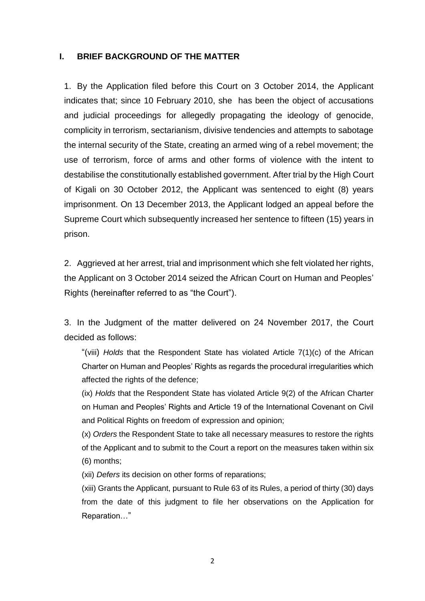#### <span id="page-3-0"></span>**I. BRIEF BACKGROUND OF THE MATTER**

1. By the Application filed before this Court on 3 October 2014, the Applicant indicates that; since 10 February 2010, she has been the object of accusations and judicial proceedings for allegedly propagating the ideology of genocide, complicity in terrorism, sectarianism, divisive tendencies and attempts to sabotage the internal security of the State, creating an armed wing of a rebel movement; the use of terrorism, force of arms and other forms of violence with the intent to destabilise the constitutionally established government. After trial by the High Court of Kigali on 30 October 2012, the Applicant was sentenced to eight (8) years imprisonment. On 13 December 2013, the Applicant lodged an appeal before the Supreme Court which subsequently increased her sentence to fifteen (15) years in prison.

2. Aggrieved at her arrest, trial and imprisonment which she felt violated her rights, the Applicant on 3 October 2014 seized the African Court on Human and Peoples' Rights (hereinafter referred to as "the Court").

3. In the Judgment of the matter delivered on 24 November 2017, the Court decided as follows:

"(viii) *Holds* that the Respondent State has violated Article 7(1)(c) of the African Charter on Human and Peoples' Rights as regards the procedural irregularities which affected the rights of the defence;

(ix) *Holds* that the Respondent State has violated Article 9(2) of the African Charter on Human and Peoples' Rights and Article 19 of the International Covenant on Civil and Political Rights on freedom of expression and opinion;

(x) *Orders* the Respondent State to take all necessary measures to restore the rights of the Applicant and to submit to the Court a report on the measures taken within six (6) months;

(xii) *Defers* its decision on other forms of reparations;

(xiii) Grants the Applicant, pursuant to Rule 63 of its Rules, a period of thirty (30) days from the date of this judgment to file her observations on the Application for Reparation…"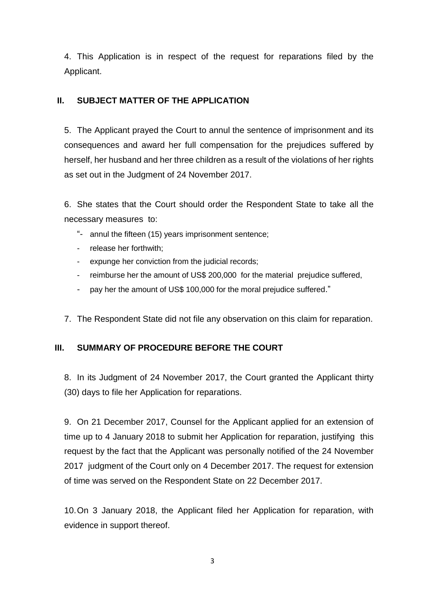4. This Application is in respect of the request for reparations filed by the Applicant.

# <span id="page-4-0"></span>**II. SUBJECT MATTER OF THE APPLICATION**

5. The Applicant prayed the Court to annul the sentence of imprisonment and its consequences and award her full compensation for the prejudices suffered by herself, her husband and her three children as a result of the violations of her rights as set out in the Judgment of 24 November 2017.

6. She states that the Court should order the Respondent State to take all the necessary measures to:

- "- annul the fifteen (15) years imprisonment sentence;
- release her forthwith;
- expunge her conviction from the judicial records;
- reimburse her the amount of US\$ 200,000 for the material prejudice suffered,
- pay her the amount of US\$ 100,000 for the moral prejudice suffered."
- 7. The Respondent State did not file any observation on this claim for reparation.

# <span id="page-4-1"></span>**III. SUMMARY OF PROCEDURE BEFORE THE COURT**

8. In its Judgment of 24 November 2017, the Court granted the Applicant thirty (30) days to file her Application for reparations.

9. On 21 December 2017, Counsel for the Applicant applied for an extension of time up to 4 January 2018 to submit her Application for reparation, justifying this request by the fact that the Applicant was personally notified of the 24 November 2017 judgment of the Court only on 4 December 2017. The request for extension of time was served on the Respondent State on 22 December 2017.

10.On 3 January 2018, the Applicant filed her Application for reparation, with evidence in support thereof.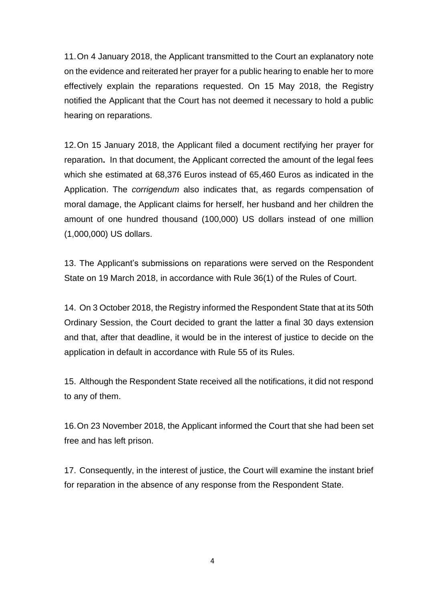11.On 4 January 2018, the Applicant transmitted to the Court an explanatory note on the evidence and reiterated her prayer for a public hearing to enable her to more effectively explain the reparations requested. On 15 May 2018, the Registry notified the Applicant that the Court has not deemed it necessary to hold a public hearing on reparations.

12.On 15 January 2018, the Applicant filed a document rectifying her prayer for reparation**.** In that document, the Applicant corrected the amount of the legal fees which she estimated at 68,376 Euros instead of 65,460 Euros as indicated in the Application. The *corrigendum* also indicates that, as regards compensation of moral damage, the Applicant claims for herself, her husband and her children the amount of one hundred thousand (100,000) US dollars instead of one million (1,000,000) US dollars.

13. The Applicant's submissions on reparations were served on the Respondent State on 19 March 2018, in accordance with Rule 36(1) of the Rules of Court.

14. On 3 October 2018, the Registry informed the Respondent State that at its 50th Ordinary Session, the Court decided to grant the latter a final 30 days extension and that, after that deadline, it would be in the interest of justice to decide on the application in default in accordance with Rule 55 of its Rules.

15. Although the Respondent State received all the notifications, it did not respond to any of them.

16.On 23 November 2018, the Applicant informed the Court that she had been set free and has left prison.

17. Consequently, in the interest of justice, the Court will examine the instant brief for reparation in the absence of any response from the Respondent State.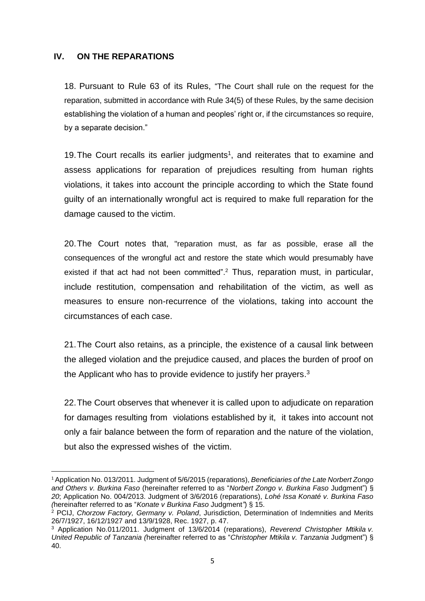### <span id="page-6-0"></span>**IV. ON THE REPARATIONS**

**.** 

18. Pursuant to Rule 63 of its Rules, "The Court shall rule on the request for the reparation, submitted in accordance with Rule 34(5) of these Rules, by the same decision establishing the violation of a human and peoples' right or, if the circumstances so require, by a separate decision."

19. The Court recalls its earlier judgments<sup>1</sup>, and reiterates that to examine and assess applications for reparation of prejudices resulting from human rights violations, it takes into account the principle according to which the State found guilty of an internationally wrongful act is required to make full reparation for the damage caused to the victim.

20.The Court notes that, "reparation must, as far as possible, erase all the consequences of the wrongful act and restore the state which would presumably have existed if that act had not been committed".<sup>2</sup> Thus, reparation must, in particular, include restitution, compensation and rehabilitation of the victim, as well as measures to ensure non-recurrence of the violations, taking into account the circumstances of each case.

21.The Court also retains, as a principle, the existence of a causal link between the alleged violation and the prejudice caused, and places the burden of proof on the Applicant who has to provide evidence to justify her prayers.<sup>3</sup>

22.The Court observes that whenever it is called upon to adjudicate on reparation for damages resulting from violations established by it, it takes into account not only a fair balance between the form of reparation and the nature of the violation, but also the expressed wishes of the victim.

<sup>1</sup> Application No. 013/2011. Judgment of 5/6/2015 (reparations), *Beneficiaries of the Late Norbert Zongo and Others v. Burkina Faso* (hereinafter referred to as "*Norbert Zongo v. Burkina Faso* Judgment") § *20*; Application No. 004/2013. Judgment of 3/6/2016 (reparations), *Lohé Issa Konaté v. Burkina Faso (*hereinafter referred to as "*Konate v Burkina Faso* Judgment*"*) § 15.

<sup>2</sup> PCIJ, *Chorzow Factory, Germany v. Poland*, Jurisdiction, Determination of Indemnities and Merits 26/7/1927, 16/12/1927 and 13/9/1928, Rec. 1927, p. 47.

<sup>3</sup> Application No.011/2011. Judgment of 13/6/2014 (reparations), *Reverend Christopher Mtikila v. United Republic of Tanzania (*hereinafter referred to as "*Christopher Mtikila v. Tanzania* Judgment") § 40.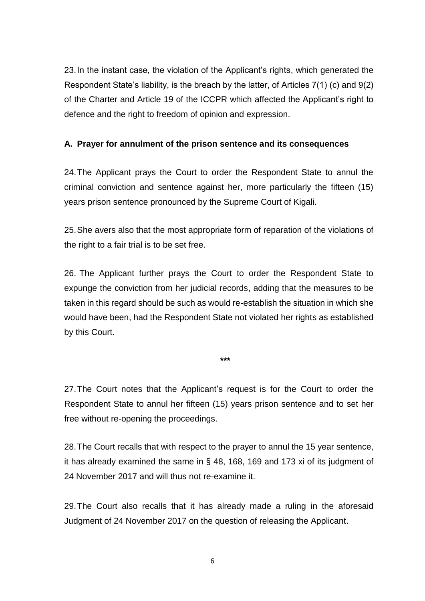23.In the instant case, the violation of the Applicant's rights, which generated the Respondent State's liability, is the breach by the latter, of Articles 7(1) (c) and 9(2) of the Charter and Article 19 of the ICCPR which affected the Applicant's right to defence and the right to freedom of opinion and expression.

# <span id="page-7-0"></span>**A. Prayer for annulment of the prison sentence and its consequences**

24.The Applicant prays the Court to order the Respondent State to annul the criminal conviction and sentence against her, more particularly the fifteen (15) years prison sentence pronounced by the Supreme Court of Kigali.

25.She avers also that the most appropriate form of reparation of the violations of the right to a fair trial is to be set free.

26. The Applicant further prays the Court to order the Respondent State to expunge the conviction from her judicial records, adding that the measures to be taken in this regard should be such as would re-establish the situation in which she would have been, had the Respondent State not violated her rights as established by this Court.

**\*\*\***

27.The Court notes that the Applicant's request is for the Court to order the Respondent State to annul her fifteen (15) years prison sentence and to set her free without re-opening the proceedings.

28.The Court recalls that with respect to the prayer to annul the 15 year sentence, it has already examined the same in § 48, 168, 169 and 173 xi of its judgment of 24 November 2017 and will thus not re-examine it.

29.The Court also recalls that it has already made a ruling in the aforesaid Judgment of 24 November 2017 on the question of releasing the Applicant.

6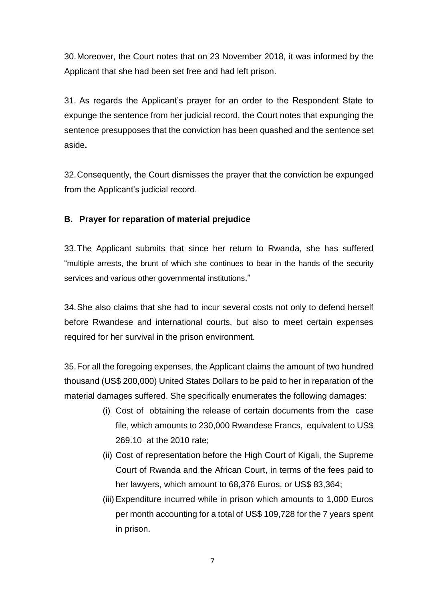30.Moreover, the Court notes that on 23 November 2018, it was informed by the Applicant that she had been set free and had left prison.

31. As regards the Applicant's prayer for an order to the Respondent State to expunge the sentence from her judicial record, the Court notes that expunging the sentence presupposes that the conviction has been quashed and the sentence set aside**.**

32.Consequently, the Court dismisses the prayer that the conviction be expunged from the Applicant's judicial record.

# <span id="page-8-0"></span>**B. Prayer for reparation of material prejudice**

33.The Applicant submits that since her return to Rwanda, she has suffered "multiple arrests, the brunt of which she continues to bear in the hands of the security services and various other governmental institutions."

34.She also claims that she had to incur several costs not only to defend herself before Rwandese and international courts, but also to meet certain expenses required for her survival in the prison environment.

35.For all the foregoing expenses, the Applicant claims the amount of two hundred thousand (US\$ 200,000) United States Dollars to be paid to her in reparation of the material damages suffered. She specifically enumerates the following damages:

- (i) Cost of obtaining the release of certain documents from the case file, which amounts to 230,000 Rwandese Francs, equivalent to US\$ 269.10 at the 2010 rate;
- (ii) Cost of representation before the High Court of Kigali, the Supreme Court of Rwanda and the African Court, in terms of the fees paid to her lawyers, which amount to 68,376 Euros, or US\$ 83,364;
- (iii) Expenditure incurred while in prison which amounts to 1,000 Euros per month accounting for a total of US\$ 109,728 for the 7 years spent in prison.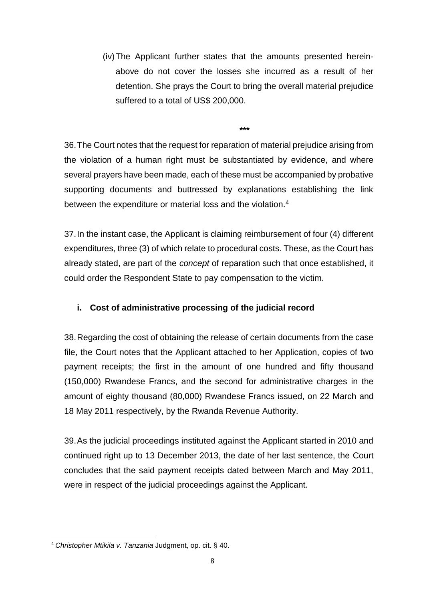(iv)The Applicant further states that the amounts presented hereinabove do not cover the losses she incurred as a result of her detention. She prays the Court to bring the overall material prejudice suffered to a total of US\$ 200,000.

**\*\*\***

36.The Court notes that the request for reparation of material prejudice arising from the violation of a human right must be substantiated by evidence, and where several prayers have been made, each of these must be accompanied by probative supporting documents and buttressed by explanations establishing the link between the expenditure or material loss and the violation.<sup>4</sup>

37.In the instant case, the Applicant is claiming reimbursement of four (4) different expenditures, three (3) of which relate to procedural costs. These, as the Court has already stated, are part of the *concept* of reparation such that once established, it could order the Respondent State to pay compensation to the victim.

# <span id="page-9-0"></span>**i. Cost of administrative processing of the judicial record**

38.Regarding the cost of obtaining the release of certain documents from the case file, the Court notes that the Applicant attached to her Application, copies of two payment receipts; the first in the amount of one hundred and fifty thousand (150,000) Rwandese Francs, and the second for administrative charges in the amount of eighty thousand (80,000) Rwandese Francs issued, on 22 March and 18 May 2011 respectively, by the Rwanda Revenue Authority.

39.As the judicial proceedings instituted against the Applicant started in 2010 and continued right up to 13 December 2013, the date of her last sentence, the Court concludes that the said payment receipts dated between March and May 2011, were in respect of the judicial proceedings against the Applicant.

<sup>1</sup> <sup>4</sup> *Christopher Mtikila v. Tanzania* Judgment, op. cit. § 40.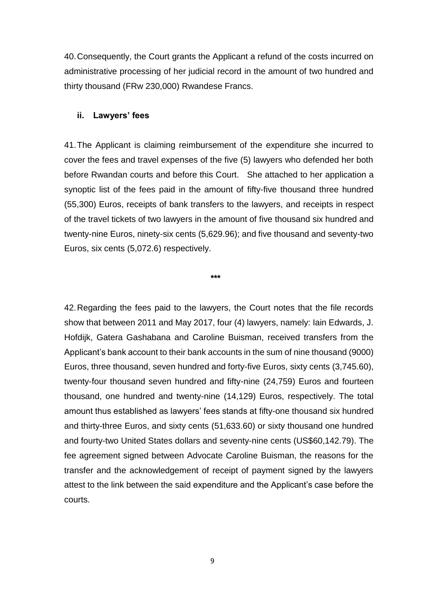40.Consequently, the Court grants the Applicant a refund of the costs incurred on administrative processing of her judicial record in the amount of two hundred and thirty thousand (FRw 230,000) Rwandese Francs.

#### <span id="page-10-0"></span>**ii. Lawyers' fees**

41.The Applicant is claiming reimbursement of the expenditure she incurred to cover the fees and travel expenses of the five (5) lawyers who defended her both before Rwandan courts and before this Court. She attached to her application a synoptic list of the fees paid in the amount of fifty-five thousand three hundred (55,300) Euros, receipts of bank transfers to the lawyers, and receipts in respect of the travel tickets of two lawyers in the amount of five thousand six hundred and twenty-nine Euros, ninety-six cents (5,629.96); and five thousand and seventy-two Euros, six cents (5,072.6) respectively.

**\*\*\***

42.Regarding the fees paid to the lawyers, the Court notes that the file records show that between 2011 and May 2017, four (4) lawyers, namely: Iain Edwards, J. Hofdijk, Gatera Gashabana and Caroline Buisman, received transfers from the Applicant's bank account to their bank accounts in the sum of nine thousand (9000) Euros, three thousand, seven hundred and forty-five Euros, sixty cents (3,745.60), twenty-four thousand seven hundred and fifty-nine (24,759) Euros and fourteen thousand, one hundred and twenty-nine (14,129) Euros, respectively. The total amount thus established as lawyers' fees stands at fifty-one thousand six hundred and thirty-three Euros, and sixty cents (51,633.60) or sixty thousand one hundred and fourty-two United States dollars and seventy-nine cents (US\$60,142.79). The fee agreement signed between Advocate Caroline Buisman, the reasons for the transfer and the acknowledgement of receipt of payment signed by the lawyers attest to the link between the said expenditure and the Applicant's case before the courts.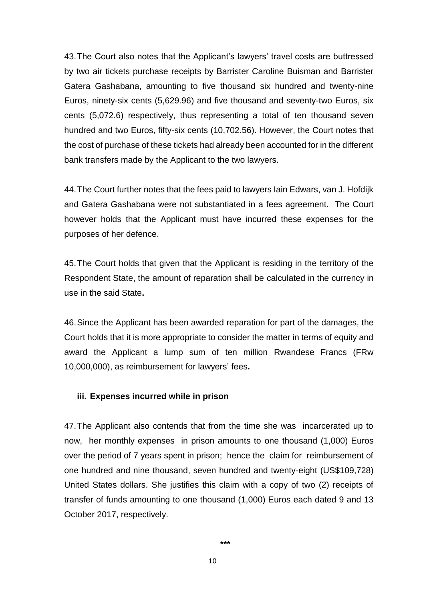43.The Court also notes that the Applicant's lawyers' travel costs are buttressed by two air tickets purchase receipts by Barrister Caroline Buisman and Barrister Gatera Gashabana, amounting to five thousand six hundred and twenty-nine Euros, ninety-six cents (5,629.96) and five thousand and seventy-two Euros, six cents (5,072.6) respectively, thus representing a total of ten thousand seven hundred and two Euros, fifty-six cents (10,702.56). However, the Court notes that the cost of purchase of these tickets had already been accounted for in the different bank transfers made by the Applicant to the two lawyers.

44.The Court further notes that the fees paid to lawyers Iain Edwars, van J. Hofdijk and Gatera Gashabana were not substantiated in a fees agreement. The Court however holds that the Applicant must have incurred these expenses for the purposes of her defence.

45.The Court holds that given that the Applicant is residing in the territory of the Respondent State, the amount of reparation shall be calculated in the currency in use in the said State**.**

46.Since the Applicant has been awarded reparation for part of the damages, the Court holds that it is more appropriate to consider the matter in terms of equity and award the Applicant a lump sum of ten million Rwandese Francs (FRw 10,000,000), as reimbursement for lawyers' fees**.**

#### <span id="page-11-0"></span>**iii. Expenses incurred while in prison**

47.The Applicant also contends that from the time she was incarcerated up to now, her monthly expenses in prison amounts to one thousand (1,000) Euros over the period of 7 years spent in prison; hence the claim for reimbursement of one hundred and nine thousand, seven hundred and twenty-eight (US\$109,728) United States dollars. She justifies this claim with a copy of two (2) receipts of transfer of funds amounting to one thousand (1,000) Euros each dated 9 and 13 October 2017, respectively.

$$
***
$$

10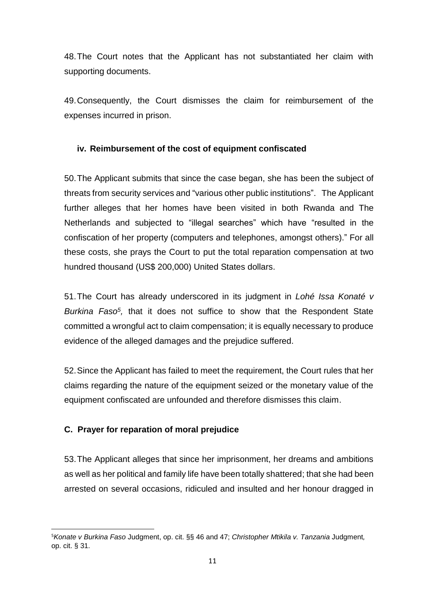48.The Court notes that the Applicant has not substantiated her claim with supporting documents.

49.Consequently, the Court dismisses the claim for reimbursement of the expenses incurred in prison.

### <span id="page-12-0"></span>**iv. Reimbursement of the cost of equipment confiscated**

50.The Applicant submits that since the case began, she has been the subject of threats from security services and "various other public institutions". The Applicant further alleges that her homes have been visited in both Rwanda and The Netherlands and subjected to "illegal searches" which have "resulted in the confiscation of her property (computers and telephones, amongst others)." For all these costs, she prays the Court to put the total reparation compensation at two hundred thousand (US\$ 200,000) United States dollars.

51.The Court has already underscored in its judgment in *Lohé Issa Konaté v*  Burkina Faso<sup>5</sup>, that it does not suffice to show that the Respondent State committed a wrongful act to claim compensation; it is equally necessary to produce evidence of the alleged damages and the prejudice suffered.

52.Since the Applicant has failed to meet the requirement, the Court rules that her claims regarding the nature of the equipment seized or the monetary value of the equipment confiscated are unfounded and therefore dismisses this claim.

# <span id="page-12-1"></span>**C. Prayer for reparation of moral prejudice**

53.The Applicant alleges that since her imprisonment, her dreams and ambitions as well as her political and family life have been totally shattered; that she had been arrested on several occasions, ridiculed and insulted and her honour dragged in

**<sup>.</sup>** <sup>5</sup>*Konate v Burkina Faso* Judgment, op. cit. §§ 46 and 47; *Christopher Mtikila v. Tanzania* Judgment*,*  op. cit. § 31.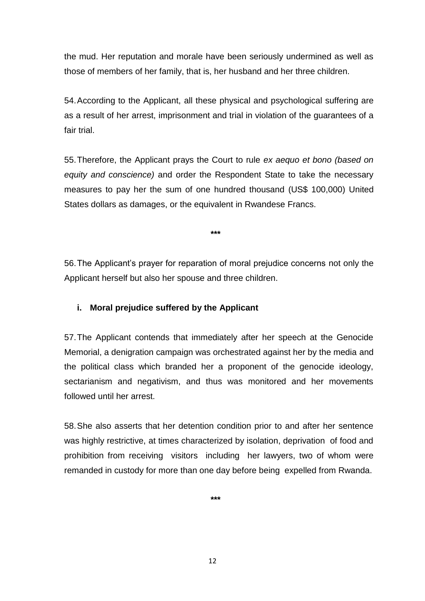the mud. Her reputation and morale have been seriously undermined as well as those of members of her family, that is, her husband and her three children.

54.According to the Applicant, all these physical and psychological suffering are as a result of her arrest, imprisonment and trial in violation of the guarantees of a fair trial.

55.Therefore, the Applicant prays the Court to rule *ex aequo et bono (based on equity and conscience)* and order the Respondent State to take the necessary measures to pay her the sum of one hundred thousand (US\$ 100,000) United States dollars as damages, or the equivalent in Rwandese Francs.

**\*\*\***

56.The Applicant's prayer for reparation of moral prejudice concerns not only the Applicant herself but also her spouse and three children.

# <span id="page-13-0"></span>**i. Moral prejudice suffered by the Applicant**

57.The Applicant contends that immediately after her speech at the Genocide Memorial, a denigration campaign was orchestrated against her by the media and the political class which branded her a proponent of the genocide ideology, sectarianism and negativism, and thus was monitored and her movements followed until her arrest.

58.She also asserts that her detention condition prior to and after her sentence was highly restrictive, at times characterized by isolation, deprivation of food and prohibition from receiving visitors including her lawyers, two of whom were remanded in custody for more than one day before being expelled from Rwanda.

**\*\*\***

12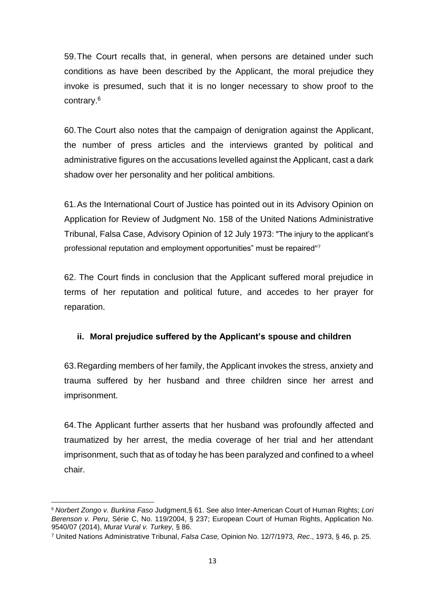59.The Court recalls that, in general, when persons are detained under such conditions as have been described by the Applicant, the moral prejudice they invoke is presumed, such that it is no longer necessary to show proof to the contrary. 6

60.The Court also notes that the campaign of denigration against the Applicant, the number of press articles and the interviews granted by political and administrative figures on the accusations levelled against the Applicant, cast a dark shadow over her personality and her political ambitions.

61.As the International Court of Justice has pointed out in its Advisory Opinion on Application for Review of Judgment No. 158 of the United Nations Administrative Tribunal, Falsa Case, Advisory Opinion of 12 July 1973: "The injury to the applicant's professional reputation and employment opportunities" must be repaired"<sup>7</sup>

62. The Court finds in conclusion that the Applicant suffered moral prejudice in terms of her reputation and political future, and accedes to her prayer for reparation.

# <span id="page-14-0"></span>**ii. Moral prejudice suffered by the Applicant's spouse and children**

63.Regarding members of her family, the Applicant invokes the stress, anxiety and trauma suffered by her husband and three children since her arrest and imprisonment.

64.The Applicant further asserts that her husband was profoundly affected and traumatized by her arrest, the media coverage of her trial and her attendant imprisonment, such that as of today he has been paralyzed and confined to a wheel chair.

 $\overline{\phantom{a}}$ <sup>6</sup> *Norbert Zongo v. Burkina Faso* Judgment,§ 61. See also Inter-American Court of Human Rights; *Lori Berenson v. Peru*, Série C, No. 119/2004, § 237; European Court of Human Rights, Application No. 9540/07 (2014), *Murat Vural v. Turkey,* § 86.

<sup>7</sup> United Nations Administrative Tribunal, *Falsa Case,* Opinion No. 12/7/1973, *Rec*., 1973, § 46, p. 25.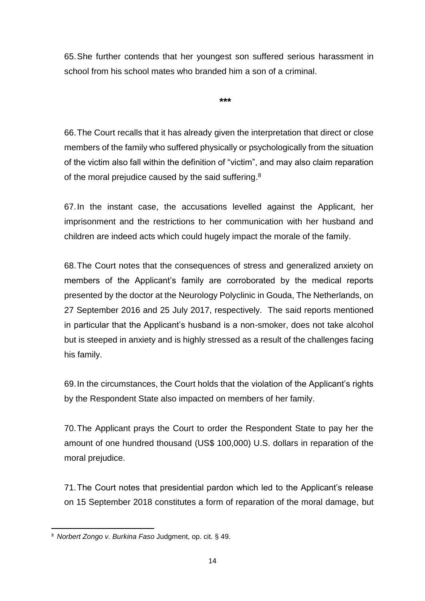65.She further contends that her youngest son suffered serious harassment in school from his school mates who branded him a son of a criminal.

**\*\*\***

66.The Court recalls that it has already given the interpretation that direct or close members of the family who suffered physically or psychologically from the situation of the victim also fall within the definition of "victim", and may also claim reparation of the moral prejudice caused by the said suffering.<sup>8</sup>

67.In the instant case, the accusations levelled against the Applicant, her imprisonment and the restrictions to her communication with her husband and children are indeed acts which could hugely impact the morale of the family.

68.The Court notes that the consequences of stress and generalized anxiety on members of the Applicant's family are corroborated by the medical reports presented by the doctor at the Neurology Polyclinic in Gouda, The Netherlands, on 27 September 2016 and 25 July 2017, respectively. The said reports mentioned in particular that the Applicant's husband is a non-smoker, does not take alcohol but is steeped in anxiety and is highly stressed as a result of the challenges facing his family.

69.In the circumstances, the Court holds that the violation of the Applicant's rights by the Respondent State also impacted on members of her family.

70.The Applicant prays the Court to order the Respondent State to pay her the amount of one hundred thousand (US\$ 100,000) U.S. dollars in reparation of the moral prejudice.

71.The Court notes that presidential pardon which led to the Applicant's release on 15 September 2018 constitutes a form of reparation of the moral damage, but

**<sup>.</sup>** <sup>8</sup> *Norbert Zongo v. Burkina Faso* Judgment, op. cit. § 49.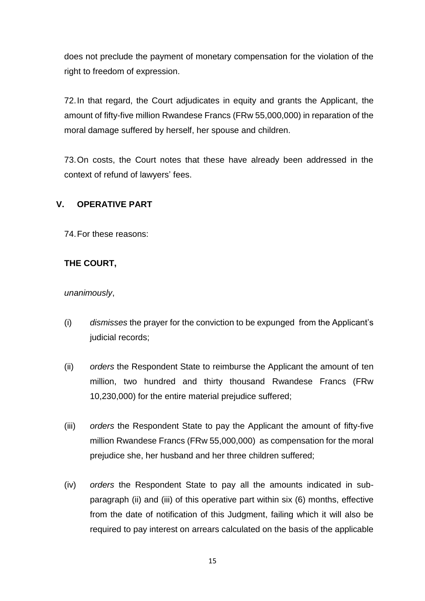does not preclude the payment of monetary compensation for the violation of the right to freedom of expression.

72.In that regard, the Court adjudicates in equity and grants the Applicant, the amount of fifty-five million Rwandese Francs (FRw 55,000,000) in reparation of the moral damage suffered by herself, her spouse and children.

73.On costs, the Court notes that these have already been addressed in the context of refund of lawyers' fees.

# <span id="page-16-0"></span>**V. OPERATIVE PART**

74.For these reasons:

# **THE COURT,**

*unanimously*,

- (i) *dismisses* the prayer for the conviction to be expunged from the Applicant's judicial records;
- (ii) *orders* the Respondent State to reimburse the Applicant the amount of ten million, two hundred and thirty thousand Rwandese Francs (FRw 10,230,000) for the entire material prejudice suffered;
- (iii) *orders* the Respondent State to pay the Applicant the amount of fifty-five million Rwandese Francs (FRw 55,000,000) as compensation for the moral prejudice she, her husband and her three children suffered;
- (iv) *orders* the Respondent State to pay all the amounts indicated in subparagraph (ii) and (iii) of this operative part within six (6) months, effective from the date of notification of this Judgment, failing which it will also be required to pay interest on arrears calculated on the basis of the applicable